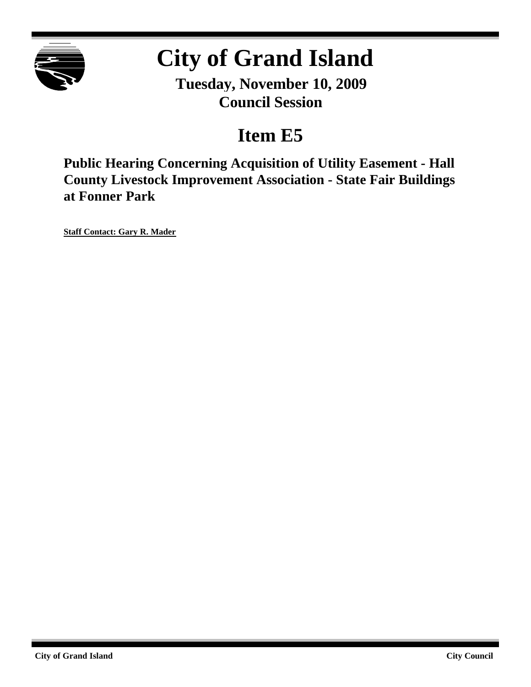

# **City of Grand Island**

**Tuesday, November 10, 2009 Council Session**

## **Item E5**

**Public Hearing Concerning Acquisition of Utility Easement - Hall County Livestock Improvement Association - State Fair Buildings at Fonner Park**

**Staff Contact: Gary R. Mader**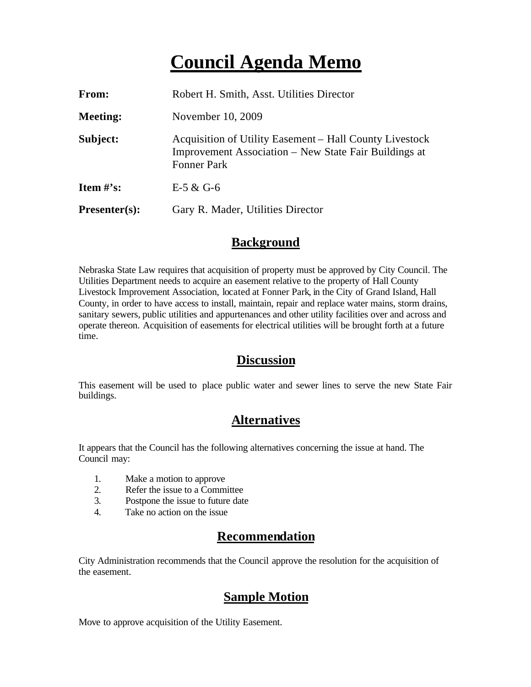### **Council Agenda Memo**

| From:           | Robert H. Smith, Asst. Utilities Director                                                                                              |
|-----------------|----------------------------------------------------------------------------------------------------------------------------------------|
| <b>Meeting:</b> | November 10, 2009                                                                                                                      |
| Subject:        | Acquisition of Utility Easement – Hall County Livestock<br>Improvement Association – New State Fair Buildings at<br><b>Fonner Park</b> |
| Item $\#$ 's:   | E-5 & G-6                                                                                                                              |
| $Presenter(s):$ | Gary R. Mader, Utilities Director                                                                                                      |

#### **Background**

Nebraska State Law requires that acquisition of property must be approved by City Council. The Utilities Department needs to acquire an easement relative to the property of Hall County Livestock Improvement Association, located at Fonner Park, in the City of Grand Island, Hall County, in order to have access to install, maintain, repair and replace water mains, storm drains, sanitary sewers, public utilities and appurtenances and other utility facilities over and across and operate thereon. Acquisition of easements for electrical utilities will be brought forth at a future time.

#### **Discussion**

This easement will be used to place public water and sewer lines to serve the new State Fair buildings.

#### **Alternatives**

It appears that the Council has the following alternatives concerning the issue at hand. The Council may:

- 1. Make a motion to approve
- 2. Refer the issue to a Committee
- 3. Postpone the issue to future date
- 4. Take no action on the issue

#### **Recommendation**

City Administration recommends that the Council approve the resolution for the acquisition of the easement.

#### **Sample Motion**

Move to approve acquisition of the Utility Easement.